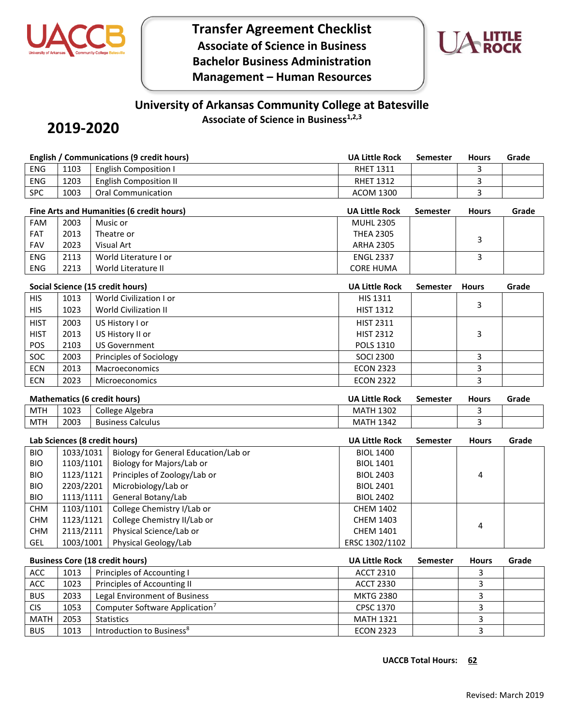

**Transfer Agreement Checklist Associate of Science in Business Bachelor Business Administration Management – Human Resources**



# **University of Arkansas Community College at Batesville Associate of Science in Business1,2,3**

# **2019-2020**

|             | <b>English / Communications (9 credit hours)</b> |                             |                                            |                       | <b>Semester</b> | <b>Hours</b>   | Grade |
|-------------|--------------------------------------------------|-----------------------------|--------------------------------------------|-----------------------|-----------------|----------------|-------|
| <b>ENG</b>  | 1103                                             |                             | <b>English Composition I</b>               | <b>RHET 1311</b>      |                 | 3              |       |
| <b>ENG</b>  | 1203                                             |                             | <b>English Composition II</b>              | <b>RHET 1312</b>      |                 | 3              |       |
| <b>SPC</b>  | 1003                                             |                             | <b>Oral Communication</b>                  | <b>ACOM 1300</b>      |                 | $\overline{3}$ |       |
|             |                                                  |                             | Fine Arts and Humanities (6 credit hours)  | <b>UA Little Rock</b> | <b>Semester</b> | <b>Hours</b>   | Grade |
| <b>FAM</b>  | 2003                                             |                             | Music or                                   | <b>MUHL 2305</b>      |                 |                |       |
| <b>FAT</b>  | 2013                                             |                             | Theatre or                                 | <b>THEA 2305</b>      |                 | 3              |       |
| <b>FAV</b>  | 2023                                             |                             | Visual Art                                 | <b>ARHA 2305</b>      |                 |                |       |
| <b>ENG</b>  | 2113                                             |                             | World Literature I or                      | <b>ENGL 2337</b>      |                 | 3              |       |
| ENG         | 2213                                             |                             | World Literature II                        | <b>CORE HUMA</b>      |                 |                |       |
|             |                                                  |                             | Social Science (15 credit hours)           | <b>UA Little Rock</b> | Semester        | <b>Hours</b>   | Grade |
| <b>HIS</b>  | 1013                                             |                             | World Civilization I or                    | HIS 1311              |                 |                |       |
| <b>HIS</b>  | 1023                                             |                             | <b>World Civilization II</b>               | <b>HIST 1312</b>      |                 | 3              |       |
| <b>HIST</b> | 2003                                             |                             | US History I or                            | <b>HIST 2311</b>      |                 |                |       |
| <b>HIST</b> | 2013                                             |                             | US History II or                           | <b>HIST 2312</b>      |                 | 3              |       |
| POS         | 2103                                             |                             | <b>US Government</b>                       | POLS 1310             |                 |                |       |
| SOC         | 2003                                             |                             | Principles of Sociology                    | <b>SOCI 2300</b>      |                 | 3              |       |
| <b>ECN</b>  | 2013                                             |                             | Macroeconomics                             | <b>ECON 2323</b>      |                 | 3              |       |
| <b>ECN</b>  | 2023                                             |                             | Microeconomics                             | <b>ECON 2322</b>      |                 | 3              |       |
|             | <b>Mathematics (6 credit hours)</b>              |                             |                                            | <b>UA Little Rock</b> | Semester        | <b>Hours</b>   | Grade |
| <b>MTH</b>  | 1023                                             |                             | College Algebra                            | <b>MATH 1302</b>      |                 | 3              |       |
| <b>MTH</b>  | 2003                                             |                             | <b>Business Calculus</b>                   | <b>MATH 1342</b>      |                 | 3              |       |
|             | Lab Sciences (8 credit hours)                    |                             |                                            | <b>UA Little Rock</b> | <b>Semester</b> | <b>Hours</b>   | Grade |
| <b>BIO</b>  | 1033/1031                                        |                             | Biology for General Education/Lab or       | <b>BIOL 1400</b>      |                 |                |       |
| <b>BIO</b>  | 1103/1101                                        |                             | Biology for Majors/Lab or                  | <b>BIOL 1401</b>      |                 |                |       |
| <b>BIO</b>  | 1123/1121                                        |                             | Principles of Zoology/Lab or               | <b>BIOL 2403</b>      |                 | 4              |       |
| <b>BIO</b>  | 2203/2201                                        |                             | Microbiology/Lab or                        | <b>BIOL 2401</b>      |                 |                |       |
| <b>BIO</b>  | 1113/1111                                        |                             | General Botany/Lab                         | <b>BIOL 2402</b>      |                 |                |       |
| <b>CHM</b>  | 1103/1101                                        |                             | College Chemistry I/Lab or                 | <b>CHEM 1402</b>      |                 |                |       |
| <b>CHM</b>  | 1123/1121                                        |                             | College Chemistry II/Lab or                | <b>CHEM 1403</b>      |                 | 4              |       |
| <b>CHM</b>  | 2113/2111                                        |                             | Physical Science/Lab or                    | <b>CHEM 1401</b>      |                 |                |       |
| GEL         | 1003/1001                                        |                             | Physical Geology/Lab                       | ERSC 1302/1102        |                 |                |       |
|             |                                                  |                             | <b>Business Core (18 credit hours)</b>     | <b>UA Little Rock</b> | <b>Semester</b> | <b>Hours</b>   | Grade |
| ACC         | 1013                                             |                             | Principles of Accounting I                 | <b>ACCT 2310</b>      |                 | 3              |       |
| ACC         | 1023                                             | Principles of Accounting II |                                            | <b>ACCT 2330</b>      |                 | 3              |       |
| <b>BUS</b>  | 2033                                             |                             | Legal Environment of Business              | <b>MKTG 2380</b>      |                 | 3              |       |
| <b>CIS</b>  | 1053                                             |                             | Computer Software Application <sup>7</sup> | CPSC 1370             |                 | 3              |       |

MATH 2053 Statistics MATH 1321 3 BUS | 1013 | Introduction to Business<sup>8</sup> According to the CON 2323 | No. 1 3